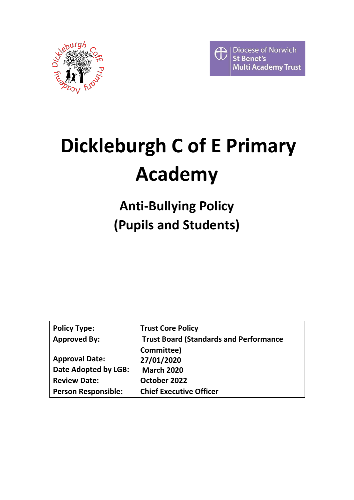



# **Dickleburgh C of E Primary Academy**

# **Anti-Bullying Policy (Pupils and Students)**

| <b>Policy Type:</b>        | <b>Trust Core Policy</b>                      |
|----------------------------|-----------------------------------------------|
| <b>Approved By:</b>        | <b>Trust Board (Standards and Performance</b> |
|                            | Committee)                                    |
| <b>Approval Date:</b>      | 27/01/2020                                    |
| Date Adopted by LGB:       | <b>March 2020</b>                             |
| <b>Review Date:</b>        | October 2022                                  |
| <b>Person Responsible:</b> | <b>Chief Executive Officer</b>                |
|                            |                                               |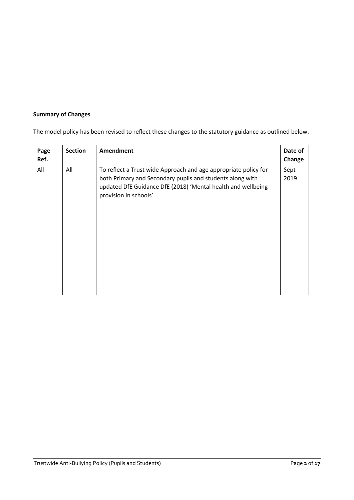# **Summary of Changes**

The model policy has been revised to reflect these changes to the statutory guidance as outlined below.

| Page<br>Ref. | <b>Section</b> | Amendment                                                                                                                                                                                                             | Date of<br>Change |
|--------------|----------------|-----------------------------------------------------------------------------------------------------------------------------------------------------------------------------------------------------------------------|-------------------|
| All          | All            | To reflect a Trust wide Approach and age appropriate policy for<br>both Primary and Secondary pupils and students along with<br>updated DfE Guidance DfE (2018) 'Mental health and wellbeing<br>provision in schools' | Sept<br>2019      |
|              |                |                                                                                                                                                                                                                       |                   |
|              |                |                                                                                                                                                                                                                       |                   |
|              |                |                                                                                                                                                                                                                       |                   |
|              |                |                                                                                                                                                                                                                       |                   |
|              |                |                                                                                                                                                                                                                       |                   |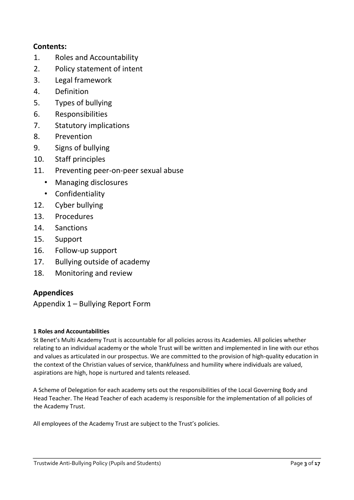# **Contents:**

- 1. Roles and Accountability
- 2. Policy statement of intent
- 3. Legal framework
- 4. Definition
- 5. Types of bullying
- 6. Responsibilities
- 7. Statutory implications
- 8. Prevention
- 9. Signs of bullying
- 10. Staff principles
- 11. Preventing peer-on-peer sexual abuse
	- Managing disclosures
	- Confidentiality
- 12. Cyber bullying
- 13. Procedures
- 14. Sanctions
- 15. Support
- 16. Follow-up support
- 17. Bullying outside of academy
- 18. Monitoring and review

# **Appendices**

Appendix 1 – Bullying Report Form

# **1 Roles and Accountabilities**

St Benet's Multi Academy Trust is accountable for all policies across its Academies. All policies whether relating to an individual academy or the whole Trust will be written and implemented in line with our ethos and values as articulated in our prospectus. We are committed to the provision of high-quality education in the context of the Christian values of service, thankfulness and humility where individuals are valued, aspirations are high, hope is nurtured and talents released.

A Scheme of Delegation for each academy sets out the responsibilities of the Local Governing Body and Head Teacher. The Head Teacher of each academy is responsible for the implementation of all policies of the Academy Trust.

All employees of the Academy Trust are subject to the Trust's policies.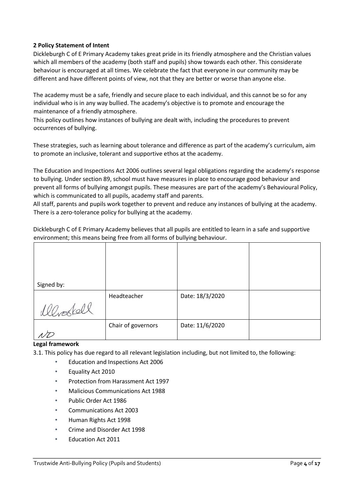# **2 Policy Statement of Intent**

Dickleburgh C of E Primary Academy takes great pride in its friendly atmosphere and the Christian values which all members of the academy (both staff and pupils) show towards each other. This considerate behaviour is encouraged at all times. We celebrate the fact that everyone in our community may be different and have different points of view, not that they are better or worse than anyone else.

The academy must be a safe, friendly and secure place to each individual, and this cannot be so for any individual who is in any way bullied. The academy's objective is to promote and encourage the maintenance of a friendly atmosphere.

This policy outlines how instances of bullying are dealt with, including the procedures to prevent occurrences of bullying.

These strategies, such as learning about tolerance and difference as part of the academy's curriculum, aim to promote an inclusive, tolerant and supportive ethos at the academy.

The Education and Inspections Act 2006 outlines several legal obligations regarding the academy's response to bullying. Under section 89, school must have measures in place to encourage good behaviour and prevent all forms of bullying amongst pupils. These measures are part of the academy's Behavioural Policy, which is communicated to all pupils, academy staff and parents.

All staff, parents and pupils work together to prevent and reduce any instances of bullying at the academy. There is a zero-tolerance policy for bullying at the academy.

Dickleburgh C of E Primary Academy believes that all pupils are entitled to learn in a safe and supportive environment; this means being free from all forms of bullying behaviour.

| Signed by: |                    |                 |  |
|------------|--------------------|-----------------|--|
|            | Headteacher        | Date: 18/3/2020 |  |
| 1lbookell  |                    |                 |  |
|            | Chair of governors | Date: 11/6/2020 |  |
|            |                    |                 |  |

# **Legal framework**

3.1. This policy has due regard to all relevant legislation including, but not limited to, the following:

- Education and Inspections Act 2006
- Equality Act 2010
- Protection from Harassment Act 1997
- Malicious Communications Act 1988
- Public Order Act 1986
- Communications Act 2003
- Human Rights Act 1998
- Crime and Disorder Act 1998
- Education Act 2011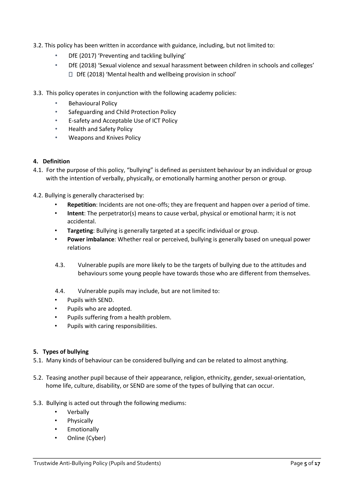- 3.2. This policy has been written in accordance with guidance, including, but not limited to:
	- DfE (2017) 'Preventing and tackling bullying'
	- DfE (2018) 'Sexual violence and sexual harassment between children in schools and colleges' DfE (2018) 'Mental health and wellbeing provision in school'
- 3.3. This policy operates in conjunction with the following academy policies:
	- Behavioural Policy
	- Safeguarding and Child Protection Policy
	- E-safety and Acceptable Use of ICT Policy
	- Health and Safety Policy
	- Weapons and Knives Policy

#### **4. Definition**

- 4.1. For the purpose of this policy, "bullying" is defined as persistent behaviour by an individual or group with the intention of verbally, physically, or emotionally harming another person or group.
- 4.2. Bullying is generally characterised by:
	- **Repetition**: Incidents are not one-offs; they are frequent and happen over a period of time.
	- **Intent**: The perpetrator(s) means to cause verbal, physical or emotional harm; it is not accidental.
	- **Targeting**: Bullying is generally targeted at a specific individual or group.
	- **Power imbalance**: Whether real or perceived, bullying is generally based on unequal power relations
	- 4.3. Vulnerable pupils are more likely to be the targets of bullying due to the attitudes and behaviours some young people have towards those who are different from themselves.
	- 4.4. Vulnerable pupils may include, but are not limited to:
	- Pupils with SEND.
	- Pupils who are adopted.
	- Pupils suffering from a health problem.
	- Pupils with caring responsibilities.

# **5. Types of bullying**

- 5.1. Many kinds of behaviour can be considered bullying and can be related to almost anything.
- 5.2. Teasing another pupil because of their appearance, religion, ethnicity, gender, sexual-orientation, home life, culture, disability, or SEND are some of the types of bullying that can occur.
- 5.3. Bullying is acted out through the following mediums:
	- **Verbally**
	- **Physically**
	- **Emotionally**
	- Online (Cyber)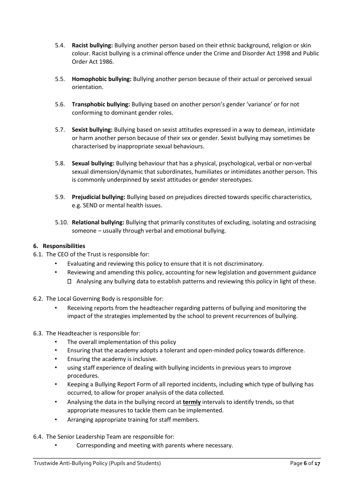- 5.4. **Racist bullying:** Bullying another person based on their ethnic background, religion or skin colour. Racist bullying is a criminal offence under the Crime and Disorder Act 1998 and Public Order Act 1986.
- 5.5. **Homophobic bullying:** Bullying another person because of their actual or perceived sexual orientation.
- 5.6. **Transphobic bullying:** Bullying based on another person's gender 'variance' or for not conforming to dominant gender roles.
- 5.7. **Sexist bullying:** Bullying based on sexist attitudes expressed in a way to demean, intimidate or harm another person because of their sex or gender. Sexist bullying may sometimes be characterised by inappropriate sexual behaviours.
- 5.8. **Sexual bullying:** Bullying behaviour that has a physical, psychological, verbal or non-verbal sexual dimension/dynamic that subordinates, humiliates or intimidates another person. This is commonly underpinned by sexist attitudes or gender stereotypes.
- 5.9. **Prejudicial bullying:** Bullying based on prejudices directed towards specific characteristics, e.g. SEND or mental health issues.
- 5.10. **Relational bullying:** Bullying that primarily constitutes of excluding, isolating and ostracising someone – usually through verbal and emotional bullying.

# **6. Responsibilities**

- 6.1. The CEO of the Trust is responsible for:
	- Evaluating and reviewing this policy to ensure that it is not discriminatory.
	- Reviewing and amending this policy, accounting for new legislation and government guidance Analysing any bullying data to establish patterns and reviewing this policy in light of these.
- 6.2. The Local Governing Body is responsible for:
	- Receiving reports from the headteacher regarding patterns of bullying and monitoring the impact of the strategies implemented by the school to prevent recurrences of bullying.
- 6.3. The Headteacher is responsible for:
	- The overall implementation of this policy
	- Ensuring that the academy adopts a tolerant and open-minded policy towards difference.
	- Ensuring the academy is inclusive.
	- using staff experience of dealing with bullying incidents in previous years to improve procedures.
	- Keeping a Bullying Report Form of all reported incidents, including which type of bullying has occurred, to allow for proper analysis of the data collected.
	- Analysing the data in the bullying record at **termly** intervals to identify trends, so that appropriate measures to tackle them can be implemented.
	- Arranging appropriate training for staff members.
- 6.4. The Senior Leadership Team are responsible for:
	- Corresponding and meeting with parents where necessary.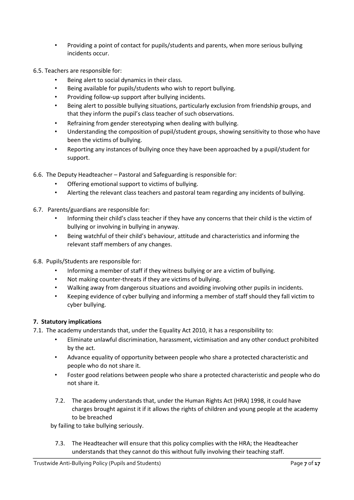• Providing a point of contact for pupils/students and parents, when more serious bullying incidents occur.

6.5. Teachers are responsible for:

- Being alert to social dynamics in their class.
- Being available for pupils/students who wish to report bullying.
- Providing follow-up support after bullying incidents.
- Being alert to possible bullying situations, particularly exclusion from friendship groups, and that they inform the pupil's class teacher of such observations.
- Refraining from gender stereotyping when dealing with bullying.
- Understanding the composition of pupil/student groups, showing sensitivity to those who have been the victims of bullying.
- Reporting any instances of bullying once they have been approached by a pupil/student for support.

6.6. The Deputy Headteacher – Pastoral and Safeguarding is responsible for:

- Offering emotional support to victims of bullying.
- Alerting the relevant class teachers and pastoral team regarding any incidents of bullying.
- 6.7. Parents/guardians are responsible for:
	- Informing their child's class teacher if they have any concerns that their child is the victim of bullying or involving in bullying in anyway.
	- Being watchful of their child's behaviour, attitude and characteristics and informing the relevant staff members of any changes.
- 6.8. Pupils/Students are responsible for:
	- Informing a member of staff if they witness bullying or are a victim of bullying.
	- Not making counter-threats if they are victims of bullying.
	- Walking away from dangerous situations and avoiding involving other pupils in incidents.
	- Keeping evidence of cyber bullying and informing a member of staff should they fall victim to cyber bullying.

#### **7. Statutory implications**

- 7.1. The academy understands that, under the Equality Act 2010, it has a responsibility to:
	- Eliminate unlawful discrimination, harassment, victimisation and any other conduct prohibited by the act.
	- Advance equality of opportunity between people who share a protected characteristic and people who do not share it.
	- Foster good relations between people who share a protected characteristic and people who do not share it.
	- 7.2. The academy understands that, under the Human Rights Act (HRA) 1998, it could have charges brought against it if it allows the rights of children and young people at the academy to be breached

by failing to take bullying seriously.

7.3. The Headteacher will ensure that this policy complies with the HRA; the Headteacher understands that they cannot do this without fully involving their teaching staff.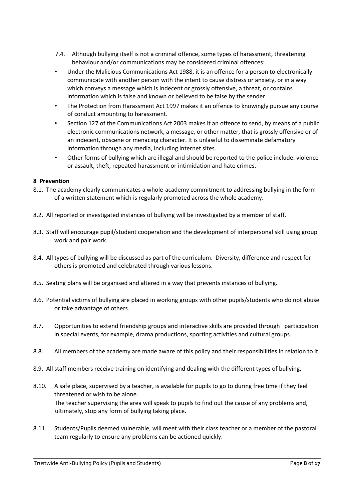- 7.4. Although bullying itself is not a criminal offence, some types of harassment, threatening behaviour and/or communications may be considered criminal offences:
- Under the Malicious Communications Act 1988, it is an offence for a person to electronically communicate with another person with the intent to cause distress or anxiety, or in a way which conveys a message which is indecent or grossly offensive, a threat, or contains information which is false and known or believed to be false by the sender.
- The Protection from Harassment Act 1997 makes it an offence to knowingly pursue any course of conduct amounting to harassment.
- Section 127 of the Communications Act 2003 makes it an offence to send, by means of a public electronic communications network, a message, or other matter, that is grossly offensive or of an indecent, obscene or menacing character. It is unlawful to disseminate defamatory information through any media, including internet sites.
- Other forms of bullying which are illegal and should be reported to the police include: violence or assault, theft, repeated harassment or intimidation and hate crimes.

#### **8 Prevention**

- 8.1. The academy clearly communicates a whole-academy commitment to addressing bullying in the form of a written statement which is regularly promoted across the whole academy.
- 8.2. All reported or investigated instances of bullying will be investigated by a member of staff.
- 8.3. Staff will encourage pupil/student cooperation and the development of interpersonal skill using group work and pair work.
- 8.4. All types of bullying will be discussed as part of the curriculum. Diversity, difference and respect for others is promoted and celebrated through various lessons.
- 8.5. Seating plans will be organised and altered in a way that prevents instances of bullying.
- 8.6. Potential victims of bullying are placed in working groups with other pupils/students who do not abuse or take advantage of others.
- 8.7. Opportunities to extend friendship groups and interactive skills are provided through participation in special events, for example, drama productions, sporting activities and cultural groups.
- 8.8. All members of the academy are made aware of this policy and their responsibilities in relation to it.
- 8.9. All staff members receive training on identifying and dealing with the different types of bullying.
- 8.10. A safe place, supervised by a teacher, is available for pupils to go to during free time if they feel threatened or wish to be alone. The teacher supervising the area will speak to pupils to find out the cause of any problems and, ultimately, stop any form of bullying taking place.
- 8.11. Students/Pupils deemed vulnerable, will meet with their class teacher or a member of the pastoral team regularly to ensure any problems can be actioned quickly.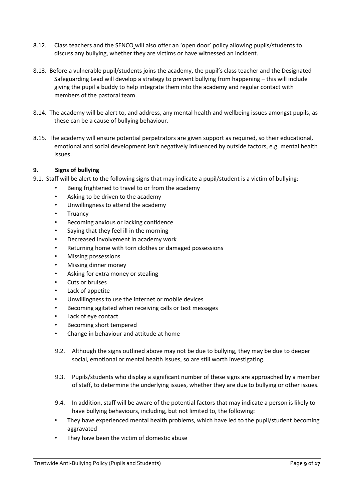- 8.12. Class teachers and the SENCO will also offer an 'open door' policy allowing pupils/students to discuss any bullying, whether they are victims or have witnessed an incident.
- 8.13. Before a vulnerable pupil/students joins the academy, the pupil's class teacher and the Designated Safeguarding Lead will develop a strategy to prevent bullying from happening – this will include giving the pupil a buddy to help integrate them into the academy and regular contact with members of the pastoral team.
- 8.14. The academy will be alert to, and address, any mental health and wellbeing issues amongst pupils, as these can be a cause of bullying behaviour.
- 8.15. The academy will ensure potential perpetrators are given support as required, so their educational, emotional and social development isn't negatively influenced by outside factors, e.g. mental health issues.

# **9. Signs of bullying**

- 9.1. Staff will be alert to the following signs that may indicate a pupil/student is a victim of bullying:
	- Being frightened to travel to or from the academy
	- Asking to be driven to the academy
	- Unwillingness to attend the academy
	- **Truancy**
	- Becoming anxious or lacking confidence
	- Saying that they feel ill in the morning
	- Decreased involvement in academy work
	- Returning home with torn clothes or damaged possessions
	- Missing possessions
	- Missing dinner money
	- Asking for extra money or stealing
	- Cuts or bruises
	- Lack of appetite
	- Unwillingness to use the internet or mobile devices
	- Becoming agitated when receiving calls or text messages
	- Lack of eye contact
	- Becoming short tempered
	- Change in behaviour and attitude at home
	- 9.2. Although the signs outlined above may not be due to bullying, they may be due to deeper social, emotional or mental health issues, so are still worth investigating.
	- 9.3. Pupils/students who display a significant number of these signs are approached by a member of staff, to determine the underlying issues, whether they are due to bullying or other issues.
	- 9.4. In addition, staff will be aware of the potential factors that may indicate a person is likely to have bullying behaviours, including, but not limited to, the following:
	- They have experienced mental health problems, which have led to the pupil/student becoming aggravated
	- They have been the victim of domestic abuse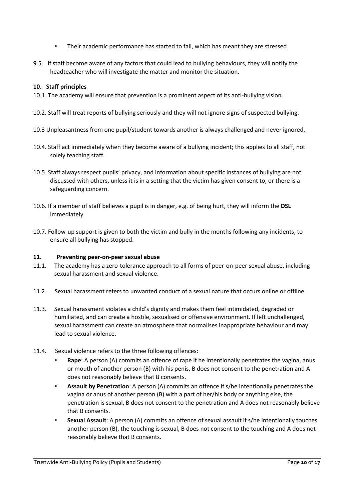- Their academic performance has started to fall, which has meant they are stressed
- 9.5. If staff become aware of any factors that could lead to bullying behaviours, they will notify the headteacher who will investigate the matter and monitor the situation.

# **10. Staff principles**

- 10.1. The academy will ensure that prevention is a prominent aspect of its anti-bullying vision.
- 10.2. Staff will treat reports of bullying seriously and they will not ignore signs of suspected bullying.
- 10.3 Unpleasantness from one pupil/student towards another is always challenged and never ignored.
- 10.4. Staff act immediately when they become aware of a bullying incident; this applies to all staff, not solely teaching staff.
- 10.5. Staff always respect pupils' privacy, and information about specific instances of bullying are not discussed with others, unless it is in a setting that the victim has given consent to, or there is a safeguarding concern.
- 10.6. If a member of staff believes a pupil is in danger, e.g. of being hurt, they will inform the **DSL** immediately.
- 10.7. Follow-up support is given to both the victim and bully in the months following any incidents, to ensure all bullying has stopped.

# **11. Preventing peer-on-peer sexual abuse**

- 11.1. The academy has a zero-tolerance approach to all forms of peer-on-peer sexual abuse, including sexual harassment and sexual violence.
- 11.2. Sexual harassment refers to unwanted conduct of a sexual nature that occurs online or offline.
- 11.3. Sexual harassment violates a child's dignity and makes them feel intimidated, degraded or humiliated, and can create a hostile, sexualised or offensive environment. If left unchallenged, sexual harassment can create an atmosphere that normalises inappropriate behaviour and may lead to sexual violence.
- 11.4. Sexual violence refers to the three following offences:
	- **Rape**: A person (A) commits an offence of rape if he intentionally penetrates the vagina, anus or mouth of another person (B) with his penis, B does not consent to the penetration and A does not reasonably believe that B consents.
	- **Assault by Penetration**: A person (A) commits an offence if s/he intentionally penetrates the vagina or anus of another person (B) with a part of her/his body or anything else, the penetration is sexual, B does not consent to the penetration and A does not reasonably believe that B consents.
	- **Sexual Assault**: A person (A) commits an offence of sexual assault if s/he intentionally touches another person (B), the touching is sexual, B does not consent to the touching and A does not reasonably believe that B consents.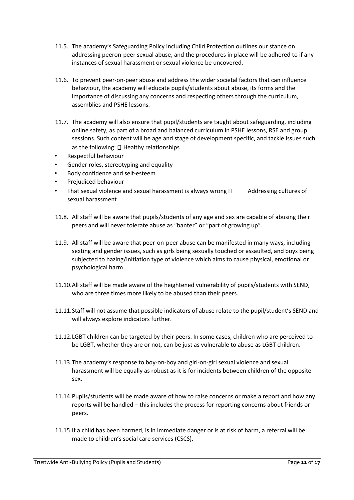- 11.5. The academy's Safeguarding Policy including Child Protection outlines our stance on addressing peeron-peer sexual abuse, and the procedures in place will be adhered to if any instances of sexual harassment or sexual violence be uncovered.
- 11.6. To prevent peer-on-peer abuse and address the wider societal factors that can influence behaviour, the academy will educate pupils/students about abuse, its forms and the importance of discussing any concerns and respecting others through the curriculum, assemblies and PSHE lessons.
- 11.7. The academy will also ensure that pupil/students are taught about safeguarding, including online safety, as part of a broad and balanced curriculum in PSHE lessons, RSE and group sessions. Such content will be age and stage of development specific, and tackle issues such as the following:  $\Box$  Healthy relationships
- Respectful behaviour
- Gender roles, stereotyping and equality
- Body confidence and self-esteem
- Prejudiced behaviour
- That sexual violence and sexual harassment is always wrong  $\Box$  Addressing cultures of sexual harassment
- 11.8. All staff will be aware that pupils/students of any age and sex are capable of abusing their peers and will never tolerate abuse as "banter" or "part of growing up".
- 11.9. All staff will be aware that peer-on-peer abuse can be manifested in many ways, including sexting and gender issues, such as girls being sexually touched or assaulted, and boys being subjected to hazing/initiation type of violence which aims to cause physical, emotional or psychological harm.
- 11.10.All staff will be made aware of the heightened vulnerability of pupils/students with SEND, who are three times more likely to be abused than their peers.
- 11.11.Staff will not assume that possible indicators of abuse relate to the pupil/student's SEND and will always explore indicators further.
- 11.12.LGBT children can be targeted by their peers. In some cases, children who are perceived to be LGBT, whether they are or not, can be just as vulnerable to abuse as LGBT children.
- 11.13.The academy's response to boy-on-boy and girl-on-girl sexual violence and sexual harassment will be equally as robust as it is for incidents between children of the opposite sex.
- 11.14.Pupils/students will be made aware of how to raise concerns or make a report and how any reports will be handled – this includes the process for reporting concerns about friends or peers.
- 11.15.If a child has been harmed, is in immediate danger or is at risk of harm, a referral will be made to children's social care services (CSCS).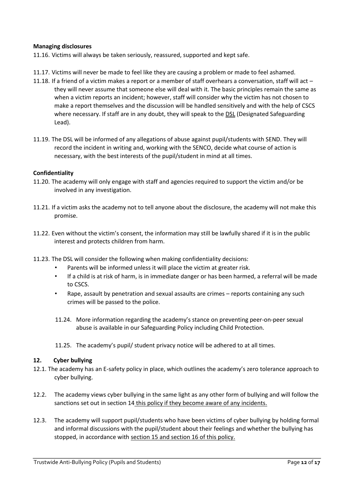#### **Managing disclosures**

11.16. Victims will always be taken seriously, reassured, supported and kept safe.

- 11.17. Victims will never be made to feel like they are causing a problem or made to feel ashamed.
- 11.18. If a friend of a victim makes a report or a member of staff overhears a conversation, staff will act they will never assume that someone else will deal with it. The basic principles remain the same as when a victim reports an incident; however, staff will consider why the victim has not chosen to make a report themselves and the discussion will be handled sensitively and with the help of CSCS where necessary. If staff are in any doubt, they will speak to the DSL (Designated Safeguarding Lead).
- 11.19. The DSL will be informed of any allegations of abuse against pupil/students with SEND. They will record the incident in writing and, working with the SENCO, decide what course of action is necessary, with the best interests of the pupil/student in mind at all times.

#### **Confidentiality**

- 11.20. The academy will only engage with staff and agencies required to support the victim and/or be involved in any investigation.
- 11.21. If a victim asks the academy not to tell anyone about the disclosure, the academy will not make this promise.
- 11.22. Even without the victim's consent, the information may still be lawfully shared if it is in the public interest and protects children from harm.
- 11.23. The DSL will consider the following when making confidentiality decisions:
	- Parents will be informed unless it will place the victim at greater risk.
	- If a child is at risk of harm, is in immediate danger or has been harmed, a referral will be made to CSCS.
	- Rape, assault by penetration and sexual assaults are crimes reports containing any such crimes will be passed to the police.
	- 11.24. More information regarding the academy's stance on preventing peer-on-peer sexual abuse is available in our Safeguarding Policy including Child Protection.
	- 11.25. The academy's pupil/ student privacy notice will be adhered to at all times.

#### **12. Cyber bullying**

- 12.1. The academy has an E-safety policy in place, which outlines the academy's zero tolerance approach to cyber bullying.
- 12.2. The academy views cyber bullying in the same light as any other form of bullying and will follow the sanctions set out in section 14 this policy if they become aware of any incidents.
- 12.3. The academy will support pupil/students who have been victims of cyber bullying by holding formal and informal discussions with the pupil/student about their feelings and whether the bullying has stopped, in accordance with section 15 and section 16 of this policy.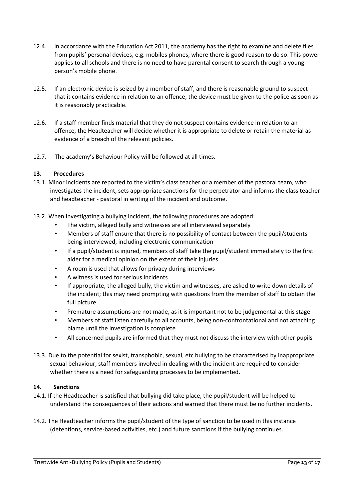- 12.4. In accordance with the Education Act 2011, the academy has the right to examine and delete files from pupils' personal devices, e.g. mobiles phones, where there is good reason to do so. This power applies to all schools and there is no need to have parental consent to search through a young person's mobile phone.
- 12.5. If an electronic device is seized by a member of staff, and there is reasonable ground to suspect that it contains evidence in relation to an offence, the device must be given to the police as soon as it is reasonably practicable.
- 12.6. If a staff member finds material that they do not suspect contains evidence in relation to an offence, the Headteacher will decide whether it is appropriate to delete or retain the material as evidence of a breach of the relevant policies.
- 12.7. The academy's Behaviour Policy will be followed at all times.

# **13. Procedures**

- 13.1. Minor incidents are reported to the victim's class teacher or a member of the pastoral team, who investigates the incident, sets appropriate sanctions for the perpetrator and informs the class teacher and headteacher - pastoral in writing of the incident and outcome.
- 13.2. When investigating a bullying incident, the following procedures are adopted:
	- The victim, alleged bully and witnesses are all interviewed separately
	- Members of staff ensure that there is no possibility of contact between the pupil/students being interviewed, including electronic communication
	- If a pupil/student is injured, members of staff take the pupil/student immediately to the first aider for a medical opinion on the extent of their injuries
	- A room is used that allows for privacy during interviews
	- A witness is used for serious incidents
	- If appropriate, the alleged bully, the victim and witnesses, are asked to write down details of the incident; this may need prompting with questions from the member of staff to obtain the full picture
	- Premature assumptions are not made, as it is important not to be judgemental at this stage
	- Members of staff listen carefully to all accounts, being non-confrontational and not attaching blame until the investigation is complete
	- All concerned pupils are informed that they must not discuss the interview with other pupils
- 13.3. Due to the potential for sexist, transphobic, sexual, etc bullying to be characterised by inappropriate sexual behaviour, staff members involved in dealing with the incident are required to consider whether there is a need for safeguarding processes to be implemented.

# **14. Sanctions**

- 14.1. If the Headteacher is satisfied that bullying did take place, the pupil/student will be helped to understand the consequences of their actions and warned that there must be no further incidents.
- 14.2. The Headteacher informs the pupil/student of the type of sanction to be used in this instance (detentions, service-based activities, etc.) and future sanctions if the bullying continues.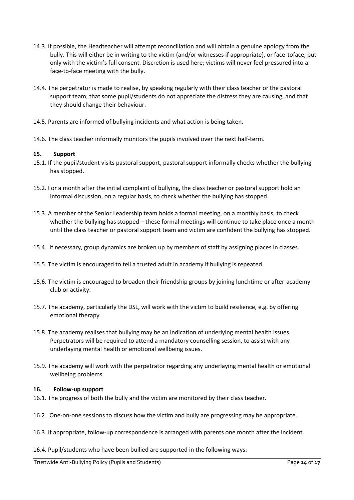- 14.3. If possible, the Headteacher will attempt reconciliation and will obtain a genuine apology from the bully. This will either be in writing to the victim (and/or witnesses if appropriate), or face-toface, but only with the victim's full consent. Discretion is used here; victims will never feel pressured into a face-to-face meeting with the bully.
- 14.4. The perpetrator is made to realise, by speaking regularly with their class teacher or the pastoral support team, that some pupil/students do not appreciate the distress they are causing, and that they should change their behaviour.
- 14.5. Parents are informed of bullying incidents and what action is being taken.
- 14.6. The class teacher informally monitors the pupils involved over the next half-term.

#### **15. Support**

- 15.1. If the pupil/student visits pastoral support, pastoral support informally checks whether the bullying has stopped.
- 15.2. For a month after the initial complaint of bullying, the class teacher or pastoral support hold an informal discussion, on a regular basis, to check whether the bullying has stopped.
- 15.3. A member of the Senior Leadership team holds a formal meeting, on a monthly basis, to check whether the bullying has stopped – these formal meetings will continue to take place once a month until the class teacher or pastoral support team and victim are confident the bullying has stopped.
- 15.4. If necessary, group dynamics are broken up by members of staff by assigning places in classes.
- 15.5. The victim is encouraged to tell a trusted adult in academy if bullying is repeated.
- 15.6. The victim is encouraged to broaden their friendship groups by joining lunchtime or after-academy club or activity.
- 15.7. The academy, particularly the DSL, will work with the victim to build resilience, e.g. by offering emotional therapy.
- 15.8. The academy realises that bullying may be an indication of underlying mental health issues. Perpetrators will be required to attend a mandatory counselling session, to assist with any underlaying mental health or emotional wellbeing issues.
- 15.9. The academy will work with the perpetrator regarding any underlaying mental health or emotional wellbeing problems.

#### **16. Follow-up support**

- 16.1. The progress of both the bully and the victim are monitored by their class teacher.
- 16.2. One-on-one sessions to discuss how the victim and bully are progressing may be appropriate.
- 16.3. If appropriate, follow-up correspondence is arranged with parents one month after the incident.
- 16.4. Pupil/students who have been bullied are supported in the following ways: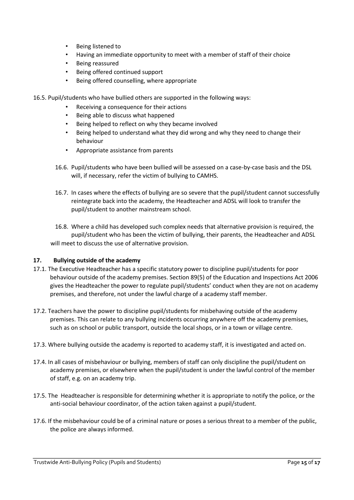- Being listened to
- Having an immediate opportunity to meet with a member of staff of their choice
- Being reassured
- Being offered continued support
- Being offered counselling, where appropriate
- 16.5. Pupil/students who have bullied others are supported in the following ways:
	- Receiving a consequence for their actions
	- Being able to discuss what happened
	- Being helped to reflect on why they became involved
	- Being helped to understand what they did wrong and why they need to change their behaviour
	- Appropriate assistance from parents
	- 16.6. Pupil/students who have been bullied will be assessed on a case-by-case basis and the DSL will, if necessary, refer the victim of bullying to CAMHS.
	- 16.7. In cases where the effects of bullying are so severe that the pupil/student cannot successfully reintegrate back into the academy, the Headteacher and ADSL will look to transfer the pupil/student to another mainstream school.
	- 16.8. Where a child has developed such complex needs that alternative provision is required, the pupil/student who has been the victim of bullying, their parents, the Headteacher and ADSL will meet to discuss the use of alternative provision.

#### **17. Bullying outside of the academy**

- 17.1. The Executive Headteacher has a specific statutory power to discipline pupil/students for poor behaviour outside of the academy premises. Section 89(5) of the Education and Inspections Act 2006 gives the Headteacher the power to regulate pupil/students' conduct when they are not on academy premises, and therefore, not under the lawful charge of a academy staff member.
- 17.2. Teachers have the power to discipline pupil/students for misbehaving outside of the academy premises. This can relate to any bullying incidents occurring anywhere off the academy premises, such as on school or public transport, outside the local shops, or in a town or village centre.
- 17.3. Where bullying outside the academy is reported to academy staff, it is investigated and acted on.
- 17.4. In all cases of misbehaviour or bullying, members of staff can only discipline the pupil/student on academy premises, or elsewhere when the pupil/student is under the lawful control of the member of staff, e.g. on an academy trip.
- 17.5. The Headteacher is responsible for determining whether it is appropriate to notify the police, or the anti-social behaviour coordinator, of the action taken against a pupil/student.
- 17.6. If the misbehaviour could be of a criminal nature or poses a serious threat to a member of the public, the police are always informed.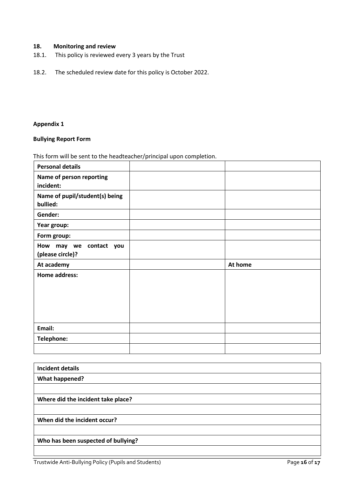# **18. Monitoring and review**

- 18.1. This policy is reviewed every 3 years by the Trust
- 18.2. The scheduled review date for this policy is October 2022.

# **Appendix 1**

#### **Bullying Report Form**

This form will be sent to the headteacher/principal upon completion.

| <b>Personal details</b>                          |         |
|--------------------------------------------------|---------|
| Name of person reporting<br>incident:            |         |
| Name of pupil/student(s) being<br>bullied:       |         |
| Gender:                                          |         |
| Year group:                                      |         |
| Form group:                                      |         |
| How<br>may we contact<br>you<br>(please circle)? |         |
|                                                  |         |
| At academy                                       | At home |
| <b>Home address:</b>                             |         |
| Email:                                           |         |
| Telephone:                                       |         |

| <b>Incident details</b>             |
|-------------------------------------|
| <b>What happened?</b>               |
|                                     |
| Where did the incident take place?  |
|                                     |
| When did the incident occur?        |
|                                     |
| Who has been suspected of bullying? |
|                                     |